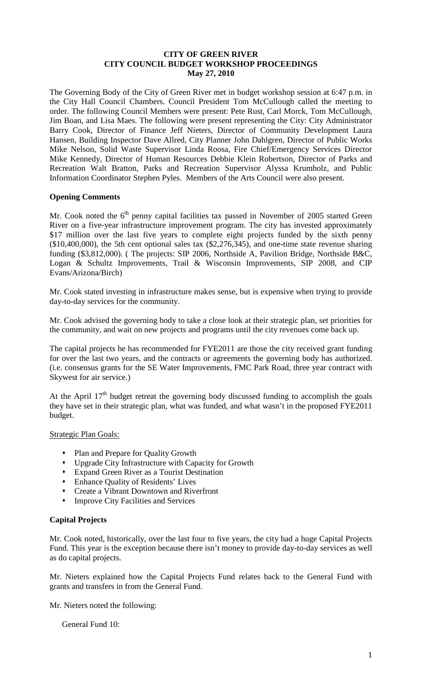#### **CITY OF GREEN RIVER CITY COUNCIL BUDGET WORKSHOP PROCEEDINGS May 27, 2010**

The Governing Body of the City of Green River met in budget workshop session at 6:47 p.m. in the City Hall Council Chambers. Council President Tom McCullough called the meeting to order. The following Council Members were present: Pete Rust, Carl Morck, Tom McCullough, Jim Boan, and Lisa Maes. The following were present representing the City: City Administrator Barry Cook, Director of Finance Jeff Nieters, Director of Community Development Laura Hansen, Building Inspector Dave Allred, City Planner John Dahlgren, Director of Public Works Mike Nelson, Solid Waste Supervisor Linda Roosa, Fire Chief/Emergency Services Director Mike Kennedy, Director of Human Resources Debbie Klein Robertson, Director of Parks and Recreation Walt Bratton, Parks and Recreation Supervisor Alyssa Krumholz, and Public Information Coordinator Stephen Pyles. Members of the Arts Council were also present.

#### **Opening Comments**

Mr. Cook noted the 6<sup>th</sup> penny capital facilities tax passed in November of 2005 started Green River on a five-year infrastructure improvement program. The city has invested approximately \$17 million over the last five years to complete eight projects funded by the sixth penny  $(\$10,400,000)$ , the 5th cent optional sales tax  $(\$2,276,345)$ , and one-time state revenue sharing funding (\$3,812,000). ( The projects: SIP 2006, Northside A, Pavilion Bridge, Northside B&C, Logan & Schultz Improvements, Trail & Wisconsin Improvements, SIP 2008, and CIP Evans/Arizona/Birch)

Mr. Cook stated investing in infrastructure makes sense, but is expensive when trying to provide day-to-day services for the community.

Mr. Cook advised the governing body to take a close look at their strategic plan, set priorities for the community, and wait on new projects and programs until the city revenues come back up.

The capital projects he has recommended for FYE2011 are those the city received grant funding for over the last two years, and the contracts or agreements the governing body has authorized. (i.e. consensus grants for the SE Water Improvements, FMC Park Road, three year contract with Skywest for air service.)

At the April  $17<sup>th</sup>$  budget retreat the governing body discussed funding to accomplish the goals they have set in their strategic plan, what was funded, and what wasn't in the proposed FYE2011 budget.

#### Strategic Plan Goals:

- Plan and Prepare for Quality Growth
- Upgrade City Infrastructure with Capacity for Growth
- Expand Green River as a Tourist Destination
- Enhance Quality of Residents' Lives
- Create a Vibrant Downtown and Riverfront
- Improve City Facilities and Services

#### **Capital Projects**

Mr. Cook noted, historically, over the last four to five years, the city had a huge Capital Projects Fund. This year is the exception because there isn't money to provide day-to-day services as well as do capital projects.

Mr. Nieters explained how the Capital Projects Fund relates back to the General Fund with grants and transfers in from the General Fund.

Mr. Nieters noted the following:

General Fund 10: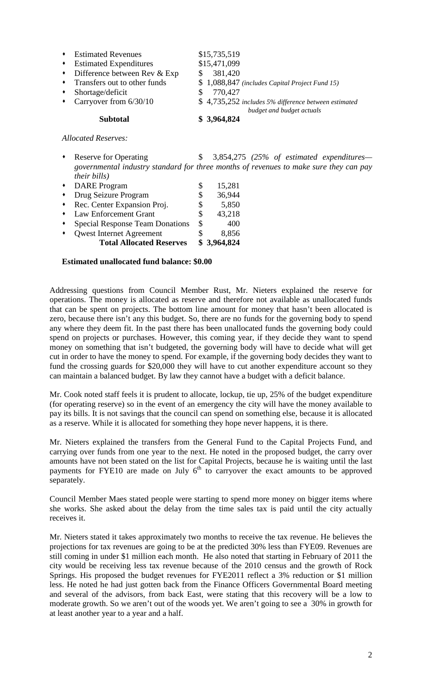| $\bullet$ | <b>Estimated Revenues</b>              | \$15,735,519                                                                      |  |
|-----------|----------------------------------------|-----------------------------------------------------------------------------------|--|
| $\bullet$ | <b>Estimated Expenditures</b>          | \$15,471,099                                                                      |  |
|           | $\bullet$ Difference between Rev & Exp | 381,420                                                                           |  |
| $\bullet$ | Transfers out to other funds           | $$1,088,847$ (includes Capital Project Fund 15)                                   |  |
| $\bullet$ | Shortage/deficit                       | 770,427                                                                           |  |
| $\bullet$ | Carryover from 6/30/10                 | \$4,735,252 includes 5% difference between estimated<br>budget and budget actuals |  |
|           | <b>Subtotal</b>                        | \$3,964,824                                                                       |  |

*Allocated Reserves:*

Reserve for Operating  $\qquad$  \$ 3,854,275 *(25% of estimated expenditures governmental industry standard for three months of revenues to make sure they can pay their bills)*

|                 | <b>DARE</b> Program                    | S  | 15,281      |
|-----------------|----------------------------------------|----|-------------|
| $\blacklozenge$ | Drug Seizure Program                   | \$ | 36,944      |
| $\bullet$       | Rec. Center Expansion Proj.            | S  | 5,850       |
|                 | <b>Law Enforcement Grant</b>           | S  | 43,218      |
|                 | <b>Special Response Team Donations</b> | \$ | 400         |
|                 | <b>Qwest Internet Agreement</b>        |    | 8,856       |
|                 | <b>Total Allocated Reserves</b>        |    | \$3,964,824 |

#### **Estimated unallocated fund balance: \$0.00**

Addressing questions from Council Member Rust, Mr. Nieters explained the reserve for operations. The money is allocated as reserve and therefore not available as unallocated funds that can be spent on projects. The bottom line amount for money that hasn't been allocated is zero, because there isn't any this budget. So, there are no funds for the governing body to spend any where they deem fit. In the past there has been unallocated funds the governing body could spend on projects or purchases. However, this coming year, if they decide they want to spend money on something that isn't budgeted, the governing body will have to decide what will get cut in order to have the money to spend. For example, if the governing body decides they want to fund the crossing guards for \$20,000 they will have to cut another expenditure account so they can maintain a balanced budget. By law they cannot have a budget with a deficit balance.

Mr. Cook noted staff feels it is prudent to allocate, lockup, tie up, 25% of the budget expenditure (for operating reserve) so in the event of an emergency the city will have the money available to pay its bills. It is not savings that the council can spend on something else, because it is allocated as a reserve. While it is allocated for something they hope never happens, it is there.

Mr. Nieters explained the transfers from the General Fund to the Capital Projects Fund, and carrying over funds from one year to the next. He noted in the proposed budget, the carry over amounts have not been stated on the list for Capital Projects, because he is waiting until the last payments for FYE10 are made on July  $6<sup>th</sup>$  to carryover the exact amounts to be approved separately.

Council Member Maes stated people were starting to spend more money on bigger items where she works. She asked about the delay from the time sales tax is paid until the city actually receives it.

Mr. Nieters stated it takes approximately two months to receive the tax revenue. He believes the projections for tax revenues are going to be at the predicted 30% less than FYE09. Revenues are still coming in under \$1 million each month. He also noted that starting in February of 2011 the city would be receiving less tax revenue because of the 2010 census and the growth of Rock Springs. His proposed the budget revenues for FYE2011 reflect a 3% reduction or \$1 million less. He noted he had just gotten back from the Finance Officers Governmental Board meeting and several of the advisors, from back East, were stating that this recovery will be a low to moderate growth. So we aren't out of the woods yet. We aren't going to see a 30% in growth for at least another year to a year and a half.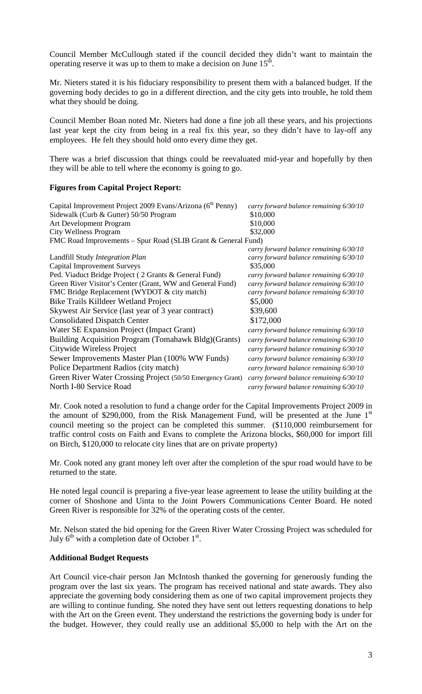Council Member McCullough stated if the council decided they didn't want to maintain the operating reserve it was up to them to make a decision on June  $15<sup>th</sup>$ .

Mr. Nieters stated it is his fiduciary responsibility to present them with a balanced budget. If the governing body decides to go in a different direction, and the city gets into trouble, he told them what they should be doing.

Council Member Boan noted Mr. Nieters had done a fine job all these years, and his projections last year kept the city from being in a real fix this year, so they didn't have to lay-off any employees. He felt they should hold onto every dime they get.

There was a brief discussion that things could be reevaluated mid-year and hopefully by then they will be able to tell where the economy is going to go.

#### **Figures from Capital Project Report:**

| Capital Improvement Project 2009 Evans/Arizona (6 <sup>th</sup> Penny) | carry forward balance remaining 6/30/10 |  |  |  |
|------------------------------------------------------------------------|-----------------------------------------|--|--|--|
| Sidewalk (Curb & Gutter) 50/50 Program<br>\$10,000                     |                                         |  |  |  |
| \$10,000<br>Art Development Program                                    |                                         |  |  |  |
| \$32,000<br>City Wellness Program                                      |                                         |  |  |  |
| FMC Road Improvements – Spur Road (SLIB Grant & General Fund)          |                                         |  |  |  |
|                                                                        | carry forward balance remaining 6/30/10 |  |  |  |
| Landfill Study <i>Integration Plan</i>                                 | carry forward balance remaining 6/30/10 |  |  |  |
| <b>Capital Improvement Surveys</b><br>\$35,000                         |                                         |  |  |  |
| Ped. Viaduct Bridge Project (2 Grants & General Fund)                  | carry forward balance remaining 6/30/10 |  |  |  |
| Green River Visitor's Center (Grant, WW and General Fund)              | carry forward balance remaining 6/30/10 |  |  |  |
| FMC Bridge Replacement (WYDOT & city match)                            | carry forward balance remaining 6/30/10 |  |  |  |
| Bike Trails Killdeer Wetland Project<br>\$5,000                        |                                         |  |  |  |
| Skywest Air Service (last year of 3 year contract)<br>\$39,600         |                                         |  |  |  |
| \$172,000<br><b>Consolidated Dispatch Center</b>                       |                                         |  |  |  |
| Water SE Expansion Project (Impact Grant)                              | carry forward balance remaining 6/30/10 |  |  |  |
| Building Acquisition Program (Tomahawk Bldg)(Grants)                   | carry forward balance remaining 6/30/10 |  |  |  |
| Citywide Wireless Project                                              | carry forward balance remaining 6/30/10 |  |  |  |
| Sewer Improvements Master Plan (100% WW Funds)                         | carry forward balance remaining 6/30/10 |  |  |  |
| Police Department Radios (city match)                                  | carry forward balance remaining 6/30/10 |  |  |  |
| Green River Water Crossing Project (50/50 Emergency Grant)             | carry forward balance remaining 6/30/10 |  |  |  |
| North I-80 Service Road                                                | carry forward balance remaining 6/30/10 |  |  |  |

Mr. Cook noted a resolution to fund a change order for the Capital Improvements Project 2009 in the amount of \$290,000, from the Risk Management Fund, will be presented at the June  $1<sup>st</sup>$ council meeting so the project can be completed this summer. (\$110,000 reimbursement for traffic control costs on Faith and Evans to complete the Arizona blocks, \$60,000 for import fill on Birch, \$120,000 to relocate city lines that are on private property)

Mr. Cook noted any grant money left over after the completion of the spur road would have to be returned to the state.

He noted legal council is preparing a five-year lease agreement to lease the utility building at the corner of Shoshone and Uinta to the Joint Powers Communications Center Board. He noted Green River is responsible for 32% of the operating costs of the center.

Mr. Nelson stated the bid opening for the Green River Water Crossing Project was scheduled for July  $6^{th}$  with a completion date of October  $1^{st}$ .

#### **Additional Budget Requests**

Art Council vice-chair person Jan McIntosh thanked the governing for generously funding the program over the last six years. The program has received national and state awards. They also appreciate the governing body considering them as one of two capital improvement projects they are willing to continue funding. She noted they have sent out letters requesting donations to help with the Art on the Green event. They understand the restrictions the governing body is under for the budget. However, they could really use an additional \$5,000 to help with the Art on the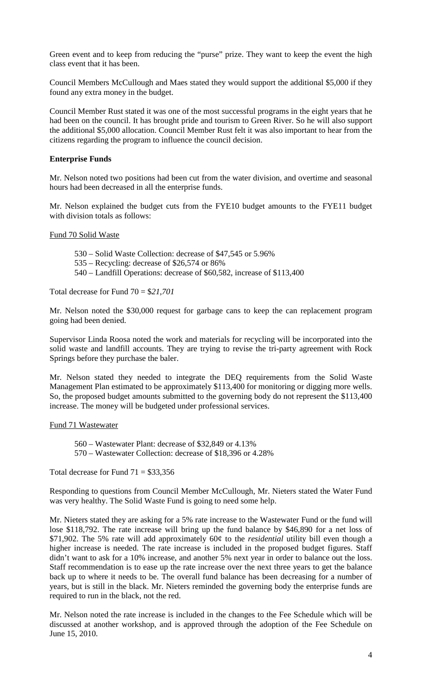Green event and to keep from reducing the "purse" prize. They want to keep the event the high class event that it has been.

Council Members McCullough and Maes stated they would support the additional \$5,000 if they found any extra money in the budget.

Council Member Rust stated it was one of the most successful programs in the eight years that he had been on the council. It has brought pride and tourism to Green River. So he will also support the additional \$5,000 allocation. Council Member Rust felt it was also important to hear from the citizens regarding the program to influence the council decision.

#### **Enterprise Funds**

Mr. Nelson noted two positions had been cut from the water division, and overtime and seasonal hours had been decreased in all the enterprise funds.

Mr. Nelson explained the budget cuts from the FYE10 budget amounts to the FYE11 budget with division totals as follows:

#### Fund 70 Solid Waste

- 530 Solid Waste Collection: decrease of \$47,545 or 5.96%
- 535 Recycling: decrease of \$26,574 or 86%
- 540 Landfill Operations: decrease of \$60,582, increase of \$113,400

Total decrease for Fund 70 = \$*21,701*

Mr. Nelson noted the \$30,000 request for garbage cans to keep the can replacement program going had been denied.

Supervisor Linda Roosa noted the work and materials for recycling will be incorporated into the solid waste and landfill accounts. They are trying to revise the tri-party agreement with Rock Springs before they purchase the baler.

Mr. Nelson stated they needed to integrate the DEQ requirements from the Solid Waste Management Plan estimated to be approximately \$113,400 for monitoring or digging more wells. So, the proposed budget amounts submitted to the governing body do not represent the \$113,400 increase. The money will be budgeted under professional services.

#### Fund 71 Wastewater

560 – Wastewater Plant: decrease of \$32,849 or 4.13% 570 – Wastewater Collection: decrease of \$18,396 or 4.28%

Total decrease for Fund  $71 = $33,356$ 

Responding to questions from Council Member McCullough, Mr. Nieters stated the Water Fund was very healthy. The Solid Waste Fund is going to need some help.

Mr. Nieters stated they are asking for a 5% rate increase to the Wastewater Fund or the fund will lose \$118,792. The rate increase will bring up the fund balance by \$46,890 for a net loss of \$71,902. The 5% rate will add approximately 60¢ to the *residential* utility bill even though a higher increase is needed. The rate increase is included in the proposed budget figures. Staff didn't want to ask for a 10% increase, and another 5% next year in order to balance out the loss. Staff recommendation is to ease up the rate increase over the next three years to get the balance back up to where it needs to be. The overall fund balance has been decreasing for a number of years, but is still in the black. Mr. Nieters reminded the governing body the enterprise funds are required to run in the black, not the red.

Mr. Nelson noted the rate increase is included in the changes to the Fee Schedule which will be discussed at another workshop, and is approved through the adoption of the Fee Schedule on June 15, 2010.